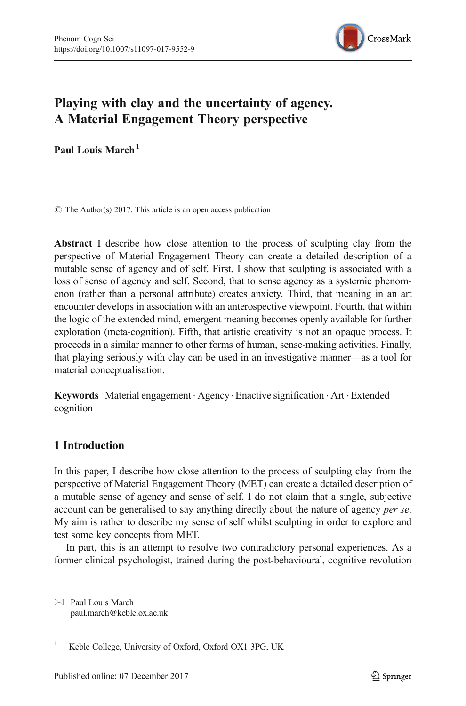

# Playing with clay and the uncertainty of agency. A Material Engagement Theory perspective

Paul Louis March<sup>1</sup>

 $\circ$  The Author(s) 2017. This article is an open access publication

Abstract I describe how close attention to the process of sculpting clay from the perspective of Material Engagement Theory can create a detailed description of a mutable sense of agency and of self. First, I show that sculpting is associated with a loss of sense of agency and self. Second, that to sense agency as a systemic phenomenon (rather than a personal attribute) creates anxiety. Third, that meaning in an art encounter develops in association with an anterospective viewpoint. Fourth, that within the logic of the extended mind, emergent meaning becomes openly available for further exploration (meta-cognition). Fifth, that artistic creativity is not an opaque process. It proceeds in a similar manner to other forms of human, sense-making activities. Finally, that playing seriously with clay can be used in an investigative manner—as a tool for material conceptualisation.

Keywords Material engagement . Agency. Enactive signification . Art . Extended cognition

# 1 Introduction

In this paper, I describe how close attention to the process of sculpting clay from the perspective of Material Engagement Theory (MET) can create a detailed description of a mutable sense of agency and sense of self. I do not claim that a single, subjective account can be generalised to say anything directly about the nature of agency *per se*. My aim is rather to describe my sense of self whilst sculpting in order to explore and test some key concepts from MET.

In part, this is an attempt to resolve two contradictory personal experiences. As a former clinical psychologist, trained during the post-behavioural, cognitive revolution

 $\boxtimes$  Paul Louis March [paul.march@keble.ox.ac.uk](mailto:paul.march@keble.ox.ac.uk)

<sup>&</sup>lt;sup>1</sup> Keble College, University of Oxford, Oxford OX1 3PG, UK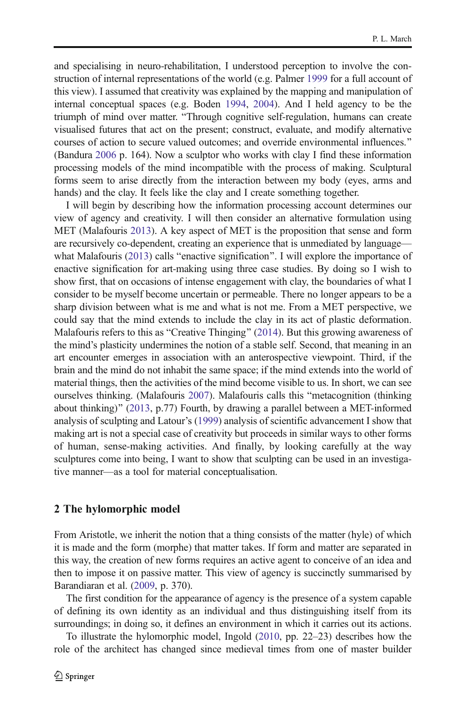and specialising in neuro-rehabilitation, I understood perception to involve the construction of internal representations of the world (e.g. Palmer [1999](#page-17-0) for a full account of this view). I assumed that creativity was explained by the mapping and manipulation of internal conceptual spaces (e.g. Boden [1994](#page-17-0), [2004\)](#page-17-0). And I held agency to be the triumph of mind over matter. "Through cognitive self-regulation, humans can create visualised futures that act on the present; construct, evaluate, and modify alternative courses of action to secure valued outcomes; and override environmental influences.<sup>"</sup> (Bandura [2006](#page-16-0) p. 164). Now a sculptor who works with clay I find these information processing models of the mind incompatible with the process of making. Sculptural forms seem to arise directly from the interaction between my body (eyes, arms and hands) and the clay. It feels like the clay and I create something together.

I will begin by describing how the information processing account determines our view of agency and creativity. I will then consider an alternative formulation using MET (Malafouris [2013\)](#page-17-0). A key aspect of MET is the proposition that sense and form are recursively co-dependent, creating an experience that is unmediated by language what Malafouris  $(2013)$  $(2013)$  $(2013)$  calls "enactive signification". I will explore the importance of enactive signification for art-making using three case studies. By doing so I wish to show first, that on occasions of intense engagement with clay, the boundaries of what I consider to be myself become uncertain or permeable. There no longer appears to be a sharp division between what is me and what is not me. From a MET perspective, we could say that the mind extends to include the clay in its act of plastic deformation. Malafouris refers to this as "Creative Thinging" ([2014](#page-17-0)). But this growing awareness of the mind's plasticity undermines the notion of a stable self. Second, that meaning in an art encounter emerges in association with an anterospective viewpoint. Third, if the brain and the mind do not inhabit the same space; if the mind extends into the world of material things, then the activities of the mind become visible to us. In short, we can see ourselves thinking. (Malafouris [2007](#page-17-0)). Malafouris calls this "metacognition (thinking about thinking)" [\(2013,](#page-17-0) p.77) Fourth, by drawing a parallel between a MET-informed analysis of sculpting and Latour's [\(1999\)](#page-17-0) analysis of scientific advancement I show that making art is not a special case of creativity but proceeds in similar ways to other forms of human, sense-making activities. And finally, by looking carefully at the way sculptures come into being, I want to show that sculpting can be used in an investigative manner—as a tool for material conceptualisation.

#### 2 The hylomorphic model

From Aristotle, we inherit the notion that a thing consists of the matter (hyle) of which it is made and the form (morphe) that matter takes. If form and matter are separated in this way, the creation of new forms requires an active agent to conceive of an idea and then to impose it on passive matter. This view of agency is succinctly summarised by Barandiaran et al. [\(2009,](#page-17-0) p. 370).

The first condition for the appearance of agency is the presence of a system capable of defining its own identity as an individual and thus distinguishing itself from its surroundings; in doing so, it defines an environment in which it carries out its actions.

To illustrate the hylomorphic model, Ingold [\(2010,](#page-17-0) pp. 22–23) describes how the role of the architect has changed since medieval times from one of master builder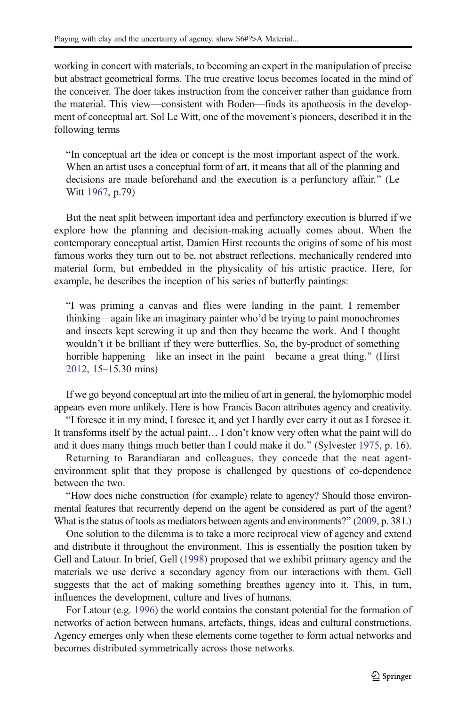working in concert with materials, to becoming an expert in the manipulation of precise but abstract geometrical forms. The true creative locus becomes located in the mind of the conceiver. The doer takes instruction from the conceiver rather than guidance from the material. This view—consistent with Boden—finds its apotheosis in the development of conceptual art. Sol Le Witt, one of the movement's pioneers, described it in the following terms

"In conceptual art the idea or concept is the most important aspect of the work. When an artist uses a conceptual form of art, it means that all of the planning and decisions are made beforehand and the execution is a perfunctory affair." (Le Witt [1967,](#page-17-0) p.79)

But the neat split between important idea and perfunctory execution is blurred if we explore how the planning and decision-making actually comes about. When the contemporary conceptual artist, Damien Hirst recounts the origins of some of his most famous works they turn out to be, not abstract reflections, mechanically rendered into material form, but embedded in the physicality of his artistic practice. Here, for example, he describes the inception of his series of butterfly paintings:

"I was priming a canvas and flies were landing in the paint. I remember thinking—again like an imaginary painter who'd be trying to paint monochromes and insects kept screwing it up and then they became the work. And I thought wouldn't it be brilliant if they were butterflies. So, the by-product of something horrible happening—like an insect in the paint—became a great thing." (Hirst [2012,](#page-17-0) 15–15.30 mins)

If we go beyond conceptual art into the milieu of art in general, the hylomorphic model appears even more unlikely. Here is how Francis Bacon attributes agency and creativity.

BI foresee it in my mind, I foresee it, and yet I hardly ever carry it out as I foresee it. It transforms itself by the actual paint… I don't know very often what the paint will do and it does many things much better than I could make it do.^ (Sylvester [1975,](#page-18-0) p. 16).

Returning to Barandiaran and colleagues, they concede that the neat agentenvironment split that they propose is challenged by questions of co-dependence between the two.

BHow does niche construction (for example) relate to agency? Should those environmental features that recurrently depend on the agent be considered as part of the agent? What is the status of tools as mediators between agents and environments?" [\(2009](#page-17-0), p. 381.)

One solution to the dilemma is to take a more reciprocal view of agency and extend and distribute it throughout the environment. This is essentially the position taken by Gell and Latour. In brief, Gell [\(1998](#page-17-0)) proposed that we exhibit primary agency and the materials we use derive a secondary agency from our interactions with them. Gell suggests that the act of making something breathes agency into it. This, in turn, influences the development, culture and lives of humans.

For Latour (e.g. [1996\)](#page-17-0) the world contains the constant potential for the formation of networks of action between humans, artefacts, things, ideas and cultural constructions. Agency emerges only when these elements come together to form actual networks and becomes distributed symmetrically across those networks.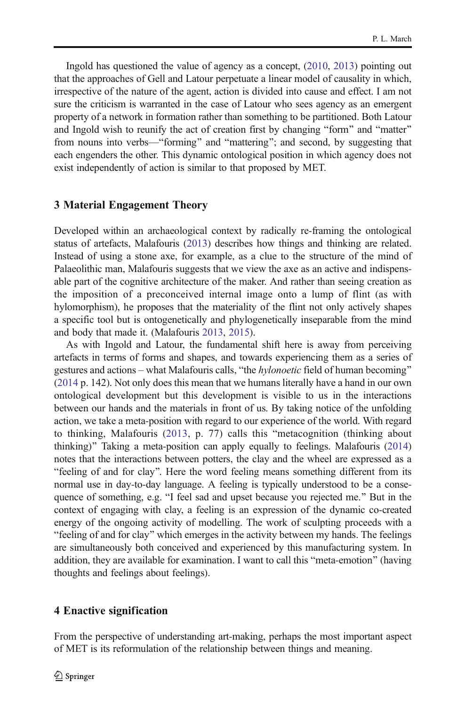Ingold has questioned the value of agency as a concept, ([2010](#page-17-0), [2013](#page-17-0)) pointing out that the approaches of Gell and Latour perpetuate a linear model of causality in which, irrespective of the nature of the agent, action is divided into cause and effect. I am not sure the criticism is warranted in the case of Latour who sees agency as an emergent property of a network in formation rather than something to be partitioned. Both Latour and Ingold wish to reunify the act of creation first by changing "form" and "matter" from nouns into verbs—"forming" and "mattering"; and second, by suggesting that each engenders the other. This dynamic ontological position in which agency does not exist independently of action is similar to that proposed by MET.

### 3 Material Engagement Theory

Developed within an archaeological context by radically re-framing the ontological status of artefacts, Malafouris [\(2013\)](#page-17-0) describes how things and thinking are related. Instead of using a stone axe, for example, as a clue to the structure of the mind of Palaeolithic man, Malafouris suggests that we view the axe as an active and indispensable part of the cognitive architecture of the maker. And rather than seeing creation as the imposition of a preconceived internal image onto a lump of flint (as with hylomorphism), he proposes that the materiality of the flint not only actively shapes a specific tool but is ontogenetically and phylogenetically inseparable from the mind and body that made it. (Malafouris [2013,](#page-17-0) [2015](#page-17-0)).

As with Ingold and Latour, the fundamental shift here is away from perceiving artefacts in terms of forms and shapes, and towards experiencing them as a series of gestures and actions – what Malafouris calls, "the hylonoetic field of human becoming" [\(2014](#page-17-0) p. 142). Not only does this mean that we humans literally have a hand in our own ontological development but this development is visible to us in the interactions between our hands and the materials in front of us. By taking notice of the unfolding action, we take a meta-position with regard to our experience of the world. With regard to thinking, Malafouris  $(2013, p. 77)$  $(2013, p. 77)$  $(2013, p. 77)$  calls this "metacognition (thinking about thinking)^ Taking a meta-position can apply equally to feelings. Malafouris ([2014](#page-17-0)) notes that the interactions between potters, the clay and the wheel are expressed as a "feeling of and for clay". Here the word feeling means something different from its normal use in day-to-day language. A feeling is typically understood to be a consequence of something, e.g. "I feel sad and upset because you rejected me." But in the context of engaging with clay, a feeling is an expression of the dynamic co-created energy of the ongoing activity of modelling. The work of sculpting proceeds with a "feeling of and for clay" which emerges in the activity between my hands. The feelings are simultaneously both conceived and experienced by this manufacturing system. In addition, they are available for examination. I want to call this "meta-emotion" (having thoughts and feelings about feelings).

#### 4 Enactive signification

From the perspective of understanding art-making, perhaps the most important aspect of MET is its reformulation of the relationship between things and meaning.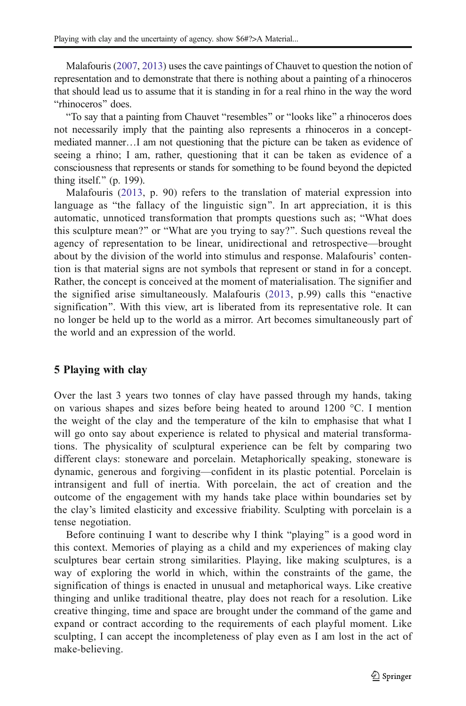Malafouris [\(2007,](#page-17-0) [2013\)](#page-17-0) uses the cave paintings of Chauvet to question the notion of representation and to demonstrate that there is nothing about a painting of a rhinoceros that should lead us to assume that it is standing in for a real rhino in the way the word "rhinoceros" does.

"To say that a painting from Chauvet "resembles" or "looks like" a rhinoceros does not necessarily imply that the painting also represents a rhinoceros in a conceptmediated manner…I am not questioning that the picture can be taken as evidence of seeing a rhino; I am, rather, questioning that it can be taken as evidence of a consciousness that represents or stands for something to be found beyond the depicted thing itself."  $(p. 199)$ .

Malafouris [\(2013,](#page-17-0) p. 90) refers to the translation of material expression into language as "the fallacy of the linguistic sign". In art appreciation, it is this automatic, unnoticed transformation that prompts questions such as; "What does this sculpture mean?" or "What are you trying to say?". Such questions reveal the agency of representation to be linear, unidirectional and retrospective—brought about by the division of the world into stimulus and response. Malafouris' contention is that material signs are not symbols that represent or stand in for a concept. Rather, the concept is conceived at the moment of materialisation. The signifier and the signified arise simultaneously. Malafouris  $(2013, p.99)$  $(2013, p.99)$  $(2013, p.99)$  calls this "enactive signification". With this view, art is liberated from its representative role. It can no longer be held up to the world as a mirror. Art becomes simultaneously part of the world and an expression of the world.

# 5 Playing with clay

Over the last 3 years two tonnes of clay have passed through my hands, taking on various shapes and sizes before being heated to around 1200 °C. I mention the weight of the clay and the temperature of the kiln to emphasise that what I will go onto say about experience is related to physical and material transformations. The physicality of sculptural experience can be felt by comparing two different clays: stoneware and porcelain. Metaphorically speaking, stoneware is dynamic, generous and forgiving—confident in its plastic potential. Porcelain is intransigent and full of inertia. With porcelain, the act of creation and the outcome of the engagement with my hands take place within boundaries set by the clay's limited elasticity and excessive friability. Sculpting with porcelain is a tense negotiation.

Before continuing I want to describe why I think "playing" is a good word in this context. Memories of playing as a child and my experiences of making clay sculptures bear certain strong similarities. Playing, like making sculptures, is a way of exploring the world in which, within the constraints of the game, the signification of things is enacted in unusual and metaphorical ways. Like creative thinging and unlike traditional theatre, play does not reach for a resolution. Like creative thinging, time and space are brought under the command of the game and expand or contract according to the requirements of each playful moment. Like sculpting, I can accept the incompleteness of play even as I am lost in the act of make-believing.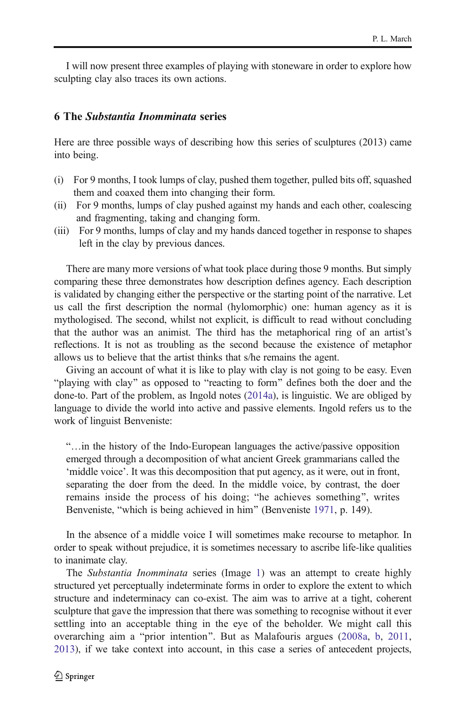I will now present three examples of playing with stoneware in order to explore how sculpting clay also traces its own actions.

## 6 The Substantia Inomminata series

Here are three possible ways of describing how this series of sculptures (2013) came into being.

- (i) For 9 months, I took lumps of clay, pushed them together, pulled bits off, squashed them and coaxed them into changing their form.
- (ii) For 9 months, lumps of clay pushed against my hands and each other, coalescing and fragmenting, taking and changing form.
- (iii) For 9 months, lumps of clay and my hands danced together in response to shapes left in the clay by previous dances.

There are many more versions of what took place during those 9 months. But simply comparing these three demonstrates how description defines agency. Each description is validated by changing either the perspective or the starting point of the narrative. Let us call the first description the normal (hylomorphic) one: human agency as it is mythologised. The second, whilst not explicit, is difficult to read without concluding that the author was an animist. The third has the metaphorical ring of an artist's reflections. It is not as troubling as the second because the existence of metaphor allows us to believe that the artist thinks that s/he remains the agent.

Giving an account of what it is like to play with clay is not going to be easy. Even "playing with clay" as opposed to "reacting to form" defines both the doer and the done-to. Part of the problem, as Ingold notes [\(2014a](#page-17-0)), is linguistic. We are obliged by language to divide the world into active and passive elements. Ingold refers us to the work of linguist Benveniste:

B…in the history of the Indo-European languages the active/passive opposition emerged through a decomposition of what ancient Greek grammarians called the 'middle voice'. It was this decomposition that put agency, as it were, out in front, separating the doer from the deed. In the middle voice, by contrast, the doer remains inside the process of his doing; "he achieves something", writes Benveniste, "which is being achieved in him" (Benveniste [1971](#page-17-0), p. 149).

In the absence of a middle voice I will sometimes make recourse to metaphor. In order to speak without prejudice, it is sometimes necessary to ascribe life-like qualities to inanimate clay.

The Substantia Inomminata series (Image [1](#page-6-0)) was an attempt to create highly structured yet perceptually indeterminate forms in order to explore the extent to which structure and indeterminacy can co-exist. The aim was to arrive at a tight, coherent sculpture that gave the impression that there was something to recognise without it ever settling into an acceptable thing in the eye of the beholder. We might call this overarching aim a "prior intention". But as Malafouris argues [\(2008a,](#page-17-0) [b,](#page-17-0) [2011,](#page-17-0) [2013\)](#page-17-0), if we take context into account, in this case a series of antecedent projects,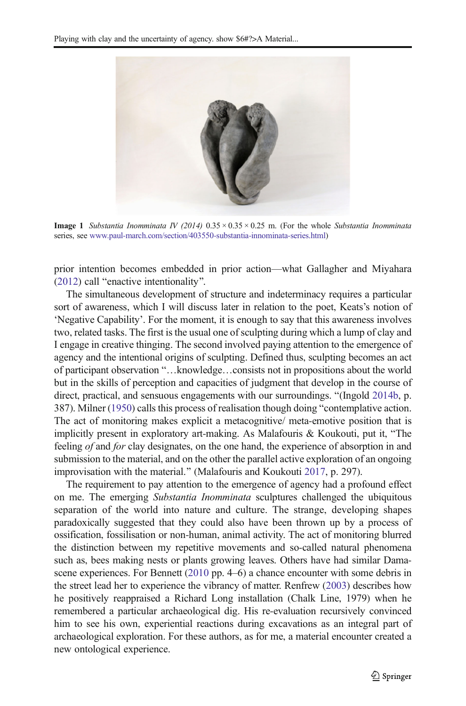<span id="page-6-0"></span>

**Image 1** Substantia Inomminata IV (2014)  $0.35 \times 0.35 \times 0.25$  m. (For the whole Substantia Inomminata series, see [www.paul-march.com/section/403550-substantia-innominata-series.html](http://www.paul-march.com/section/403550-substantia-innominata-series.html))

prior intention becomes embedded in prior action—what Gallagher and Miyahara  $(2012)$  call "enactive intentionality".

The simultaneous development of structure and indeterminacy requires a particular sort of awareness, which I will discuss later in relation to the poet, Keats's notion of 'Negative Capability'. For the moment, it is enough to say that this awareness involves two, related tasks. The first is the usual one of sculpting during which a lump of clay and I engage in creative thinging. The second involved paying attention to the emergence of agency and the intentional origins of sculpting. Defined thus, sculpting becomes an act of participant observation "...knowledge...consists not in propositions about the world but in the skills of perception and capacities of judgment that develop in the course of direct, practical, and sensuous engagements with our surroundings. "(Ingold [2014b,](#page-17-0) p. 387). Milner ([1950](#page-17-0)) calls this process of realisation though doing "contemplative action. The act of monitoring makes explicit a metacognitive/ meta-emotive position that is implicitly present in exploratory art-making. As Malafouris  $&$  Koukouti, put it, "The feeling of and for clay designates, on the one hand, the experience of absorption in and submission to the material, and on the other the parallel active exploration of an ongoing improvisation with the material." (Malafouris and Koukouti [2017,](#page-17-0) p. 297).

The requirement to pay attention to the emergence of agency had a profound effect on me. The emerging Substantia Inomminata sculptures challenged the ubiquitous separation of the world into nature and culture. The strange, developing shapes paradoxically suggested that they could also have been thrown up by a process of ossification, fossilisation or non-human, animal activity. The act of monitoring blurred the distinction between my repetitive movements and so-called natural phenomena such as, bees making nests or plants growing leaves. Others have had similar Damascene experiences. For Bennett [\(2010](#page-17-0) pp. 4–6) a chance encounter with some debris in the street lead her to experience the vibrancy of matter. Renfrew [\(2003](#page-18-0)) describes how he positively reappraised a Richard Long installation (Chalk Line, 1979) when he remembered a particular archaeological dig. His re-evaluation recursively convinced him to see his own, experiential reactions during excavations as an integral part of archaeological exploration. For these authors, as for me, a material encounter created a new ontological experience.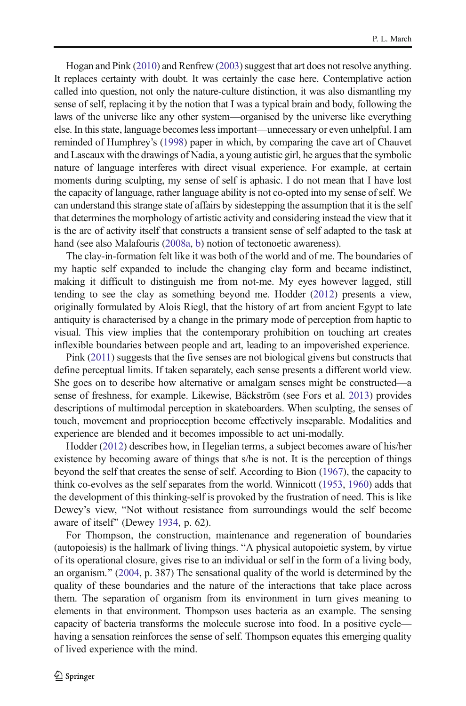Hogan and Pink [\(2010\)](#page-17-0) and Renfrew ([2003\)](#page-18-0) suggest that art does not resolve anything. It replaces certainty with doubt. It was certainly the case here. Contemplative action called into question, not only the nature-culture distinction, it was also dismantling my sense of self, replacing it by the notion that I was a typical brain and body, following the laws of the universe like any other system—organised by the universe like everything else. In this state, language becomes less important—unnecessary or even unhelpful. I am reminded of Humphrey's [\(1998](#page-17-0)) paper in which, by comparing the cave art of Chauvet and Lascaux with the drawings of Nadia, a young autistic girl, he argues that the symbolic nature of language interferes with direct visual experience. For example, at certain moments during sculpting, my sense of self is aphasic. I do not mean that I have lost the capacity of language, rather language ability is not co-opted into my sense of self. We can understand this strange state of affairs by sidestepping the assumption that it is the self that determines the morphology of artistic activity and considering instead the view that it is the arc of activity itself that constructs a transient sense of self adapted to the task at hand (see also Malafouris ([2008a](#page-17-0), [b](#page-17-0)) notion of tectonoetic awareness).

The clay-in-formation felt like it was both of the world and of me. The boundaries of my haptic self expanded to include the changing clay form and became indistinct, making it difficult to distinguish me from not-me. My eyes however lagged, still tending to see the clay as something beyond me. Hodder ([2012](#page-17-0)) presents a view, originally formulated by Alois Riegl, that the history of art from ancient Egypt to late antiquity is characterised by a change in the primary mode of perception from haptic to visual. This view implies that the contemporary prohibition on touching art creates inflexible boundaries between people and art, leading to an impoverished experience.

Pink ([2011\)](#page-18-0) suggests that the five senses are not biological givens but constructs that define perceptual limits. If taken separately, each sense presents a different world view. She goes on to describe how alternative or amalgam senses might be constructed—a sense of freshness, for example. Likewise, Bäckström (see Fors et al. [2013\)](#page-17-0) provides descriptions of multimodal perception in skateboarders. When sculpting, the senses of touch, movement and proprioception become effectively inseparable. Modalities and experience are blended and it becomes impossible to act uni-modally.

Hodder [\(2012\)](#page-17-0) describes how, in Hegelian terms, a subject becomes aware of his/her existence by becoming aware of things that s/he is not. It is the perception of things beyond the self that creates the sense of self. According to Bion [\(1967\)](#page-17-0), the capacity to think co-evolves as the self separates from the world. Winnicott ([1953](#page-18-0), [1960\)](#page-18-0) adds that the development of this thinking-self is provoked by the frustration of need. This is like Dewey's view, "Not without resistance from surroundings would the self become aware of itself" (Dewey [1934](#page-17-0), p. 62).

For Thompson, the construction, maintenance and regeneration of boundaries (autopoiesis) is the hallmark of living things. "A physical autopoietic system, by virtue of its operational closure, gives rise to an individual or self in the form of a living body, an organism."  $(2004, p. 387)$  $(2004, p. 387)$  $(2004, p. 387)$  The sensational quality of the world is determined by the quality of these boundaries and the nature of the interactions that take place across them. The separation of organism from its environment in turn gives meaning to elements in that environment. Thompson uses bacteria as an example. The sensing capacity of bacteria transforms the molecule sucrose into food. In a positive cycle having a sensation reinforces the sense of self. Thompson equates this emerging quality of lived experience with the mind.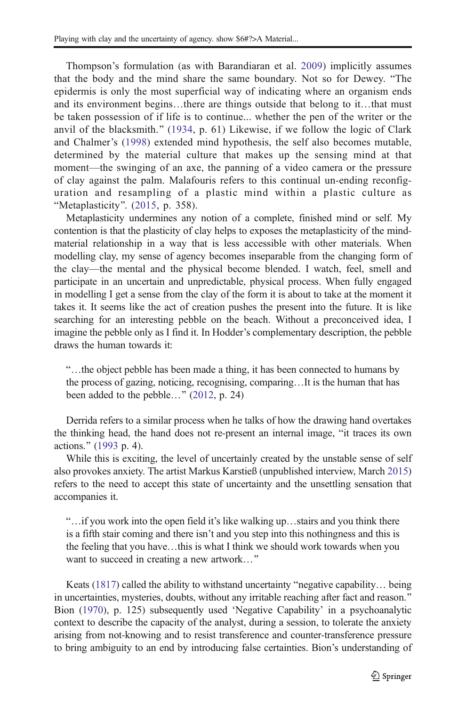Thompson's formulation (as with Barandiaran et al. [2009](#page-17-0)) implicitly assumes that the body and the mind share the same boundary. Not so for Dewey. "The epidermis is only the most superficial way of indicating where an organism ends and its environment begins…there are things outside that belong to it…that must be taken possession of if life is to continue... whether the pen of the writer or the anvil of the blacksmith."  $(1934, p. 61)$  $(1934, p. 61)$  $(1934, p. 61)$  Likewise, if we follow the logic of Clark and Chalmer's [\(1998\)](#page-17-0) extended mind hypothesis, the self also becomes mutable, determined by the material culture that makes up the sensing mind at that moment—the swinging of an axe, the panning of a video camera or the pressure of clay against the palm. Malafouris refers to this continual un-ending reconfiguration and resampling of a plastic mind within a plastic culture as "Metaplasticity".  $(2015, p. 358)$  $(2015, p. 358)$ .

Metaplasticity undermines any notion of a complete, finished mind or self. My contention is that the plasticity of clay helps to exposes the metaplasticity of the mindmaterial relationship in a way that is less accessible with other materials. When modelling clay, my sense of agency becomes inseparable from the changing form of the clay—the mental and the physical become blended. I watch, feel, smell and participate in an uncertain and unpredictable, physical process. When fully engaged in modelling I get a sense from the clay of the form it is about to take at the moment it takes it. It seems like the act of creation pushes the present into the future. It is like searching for an interesting pebble on the beach. Without a preconceived idea, I imagine the pebble only as I find it. In Hodder's complementary description, the pebble draws the human towards it:

B…the object pebble has been made a thing, it has been connected to humans by the process of gazing, noticing, recognising, comparing…It is the human that has been added to the pebble..." ([2012](#page-17-0), p. 24)

Derrida refers to a similar process when he talks of how the drawing hand overtakes the thinking head, the hand does not re-present an internal image, "it traces its own actions.^ ([1993](#page-17-0) p. 4).

While this is exciting, the level of uncertainly created by the unstable sense of self also provokes anxiety. The artist Markus Karstieß (unpublished interview, March [2015](#page-17-0)) refers to the need to accept this state of uncertainty and the unsettling sensation that accompanies it.

B…if you work into the open field it's like walking up…stairs and you think there is a fifth stair coming and there isn't and you step into this nothingness and this is the feeling that you have…this is what I think we should work towards when you want to succeed in creating a new artwork..."

Keats  $(1817)$  $(1817)$  $(1817)$  called the ability to withstand uncertainty "negative capability... being in uncertainties, mysteries, doubts, without any irritable reaching after fact and reason.<sup>"</sup> Bion ([1970](#page-17-0)), p. 125) subsequently used 'Negative Capability' in a psychoanalytic context to describe the capacity of the analyst, during a session, to tolerate the anxiety arising from not-knowing and to resist transference and counter-transference pressure to bring ambiguity to an end by introducing false certainties. Bion's understanding of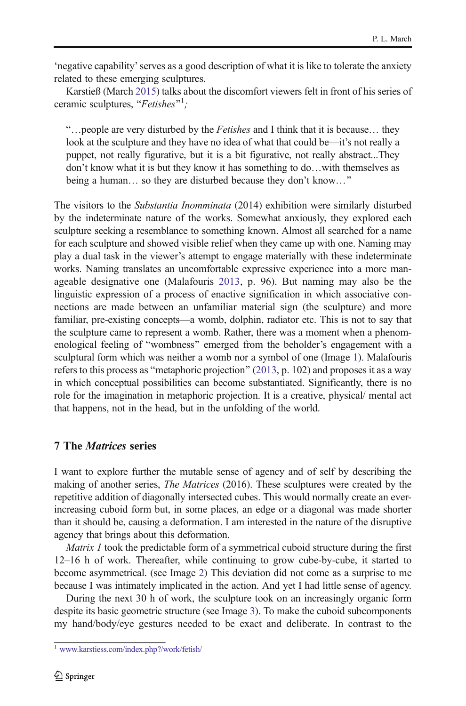'negative capability'serves as a good description of what it is like to tolerate the anxiety related to these emerging sculptures.

Karstieß (March [2015](#page-17-0)) talks about the discomfort viewers felt in front of his series of ceramic sculptures, "Fetishes"<sup>1</sup>;

"... people are very disturbed by the *Fetishes* and I think that it is because... they look at the sculpture and they have no idea of what that could be—it's not really a puppet, not really figurative, but it is a bit figurative, not really abstract...They don't know what it is but they know it has something to do…with themselves as being a human... so they are disturbed because they don't know..."

The visitors to the Substantia Inomminata (2014) exhibition were similarly disturbed by the indeterminate nature of the works. Somewhat anxiously, they explored each sculpture seeking a resemblance to something known. Almost all searched for a name for each sculpture and showed visible relief when they came up with one. Naming may play a dual task in the viewer's attempt to engage materially with these indeterminate works. Naming translates an uncomfortable expressive experience into a more manageable designative one (Malafouris [2013](#page-17-0), p. 96). But naming may also be the linguistic expression of a process of enactive signification in which associative connections are made between an unfamiliar material sign (the sculpture) and more familiar, pre-existing concepts—a womb, dolphin, radiator etc. This is not to say that the sculpture came to represent a womb. Rather, there was a moment when a phenomenological feeling of "wombness" emerged from the beholder's engagement with a sculptural form which was neither a womb nor a symbol of one (Image [1\)](#page-6-0). Malafouris refers to this process as "metaphoric projection"  $(2013, p. 102)$  $(2013, p. 102)$  and proposes it as a way in which conceptual possibilities can become substantiated. Significantly, there is no role for the imagination in metaphoric projection. It is a creative, physical/ mental act that happens, not in the head, but in the unfolding of the world.

#### 7 The Matrices series

I want to explore further the mutable sense of agency and of self by describing the making of another series, *The Matrices* (2016). These sculptures were created by the repetitive addition of diagonally intersected cubes. This would normally create an everincreasing cuboid form but, in some places, an edge or a diagonal was made shorter than it should be, causing a deformation. I am interested in the nature of the disruptive agency that brings about this deformation.

*Matrix 1* took the predictable form of a symmetrical cuboid structure during the first 12–16 h of work. Thereafter, while continuing to grow cube-by-cube, it started to become asymmetrical. (see Image [2\)](#page-10-0) This deviation did not come as a surprise to me because I was intimately implicated in the action. And yet I had little sense of agency.

During the next 30 h of work, the sculpture took on an increasingly organic form despite its basic geometric structure (see Image [3\)](#page-10-0). To make the cuboid subcomponents my hand/body/eye gestures needed to be exact and deliberate. In contrast to the

<sup>1</sup> [www.karstiess.com/index.php?/work/fetish/](http://www.karstiess.com/index.php?/work/fetish/)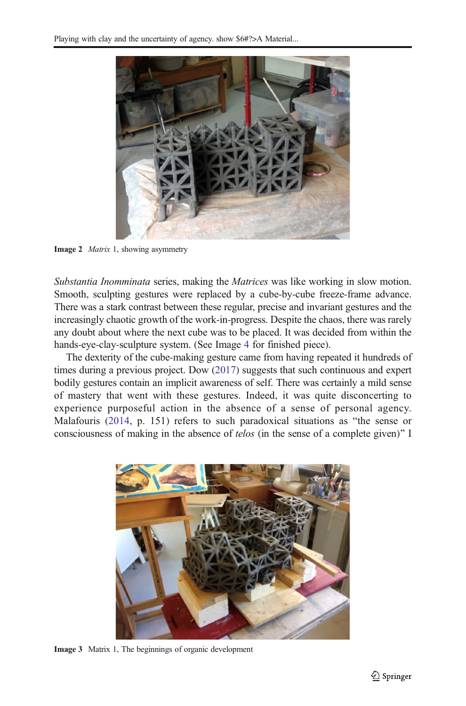<span id="page-10-0"></span>

Image 2 Matrix 1, showing asymmetry

Substantia Inomminata series, making the Matrices was like working in slow motion. Smooth, sculpting gestures were replaced by a cube-by-cube freeze-frame advance. There was a stark contrast between these regular, precise and invariant gestures and the increasingly chaotic growth of the work-in-progress. Despite the chaos, there was rarely any doubt about where the next cube was to be placed. It was decided from within the hands-eye-clay-sculpture system. (See Image [4](#page-11-0) for finished piece).

The dexterity of the cube-making gesture came from having repeated it hundreds of times during a previous project. Dow ([2017\)](#page-17-0) suggests that such continuous and expert bodily gestures contain an implicit awareness of self. There was certainly a mild sense of mastery that went with these gestures. Indeed, it was quite disconcerting to experience purposeful action in the absence of a sense of personal agency. Malafouris  $(2014, p. 151)$  $(2014, p. 151)$  refers to such paradoxical situations as "the sense or consciousness of making in the absence of telos (in the sense of a complete given)" I



Image 3 Matrix 1, The beginnings of organic development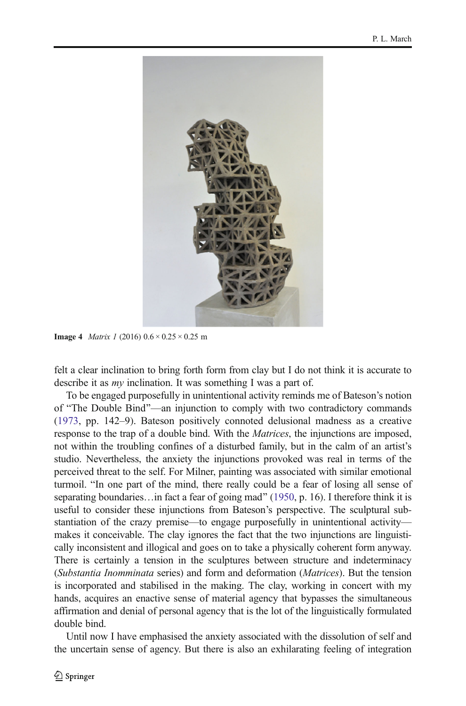<span id="page-11-0"></span>

**Image 4** *Matrix 1* (2016)  $0.6 \times 0.25 \times 0.25$  m

felt a clear inclination to bring forth form from clay but I do not think it is accurate to describe it as *my* inclination. It was something I was a part of.

To be engaged purposefully in unintentional activity reminds me of Bateson's notion of "The Double Bind"—an injunction to comply with two contradictory commands [\(1973](#page-17-0), pp. 142–9). Bateson positively connoted delusional madness as a creative response to the trap of a double bind. With the Matrices, the injunctions are imposed, not within the troubling confines of a disturbed family, but in the calm of an artist's studio. Nevertheless, the anxiety the injunctions provoked was real in terms of the perceived threat to the self. For Milner, painting was associated with similar emotional turmoil. "In one part of the mind, there really could be a fear of losing all sense of separating boundaries... in fact a fear of going mad"  $(1950, p. 16)$  $(1950, p. 16)$  $(1950, p. 16)$ . I therefore think it is useful to consider these injunctions from Bateson's perspective. The sculptural substantiation of the crazy premise—to engage purposefully in unintentional activity makes it conceivable. The clay ignores the fact that the two injunctions are linguistically inconsistent and illogical and goes on to take a physically coherent form anyway. There is certainly a tension in the sculptures between structure and indeterminacy (Substantia Inomminata series) and form and deformation (Matrices). But the tension is incorporated and stabilised in the making. The clay, working in concert with my hands, acquires an enactive sense of material agency that bypasses the simultaneous affirmation and denial of personal agency that is the lot of the linguistically formulated double bind.

Until now I have emphasised the anxiety associated with the dissolution of self and the uncertain sense of agency. But there is also an exhilarating feeling of integration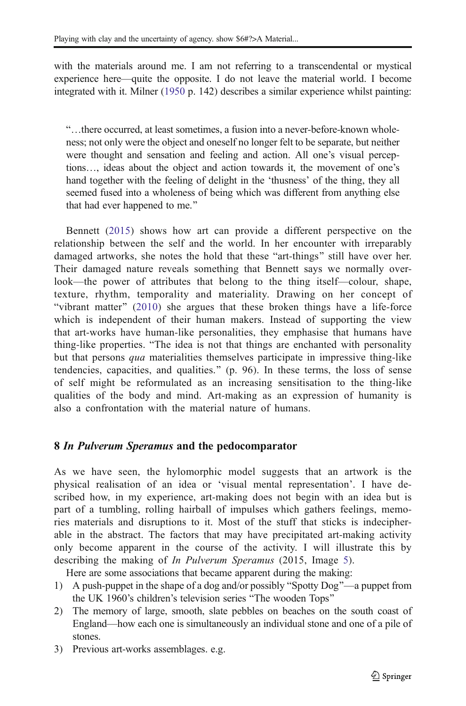with the materials around me. I am not referring to a transcendental or mystical experience here—quite the opposite. I do not leave the material world. I become integrated with it. Milner ([1950](#page-17-0) p. 142) describes a similar experience whilst painting:

B…there occurred, at least sometimes, a fusion into a never-before-known wholeness; not only were the object and oneself no longer felt to be separate, but neither were thought and sensation and feeling and action. All one's visual perceptions…, ideas about the object and action towards it, the movement of one's hand together with the feeling of delight in the 'thusness' of the thing, they all seemed fused into a wholeness of being which was different from anything else that had ever happened to me."

Bennett ([2015](#page-17-0)) shows how art can provide a different perspective on the relationship between the self and the world. In her encounter with irreparably damaged artworks, she notes the hold that these "art-things" still have over her. Their damaged nature reveals something that Bennett says we normally overlook—the power of attributes that belong to the thing itself—colour, shape, texture, rhythm, temporality and materiality. Drawing on her concept of "vibrant matter"  $(2010)$  she argues that these broken things have a life-force which is independent of their human makers. Instead of supporting the view that art-works have human-like personalities, they emphasise that humans have thing-like properties. "The idea is not that things are enchanted with personality but that persons qua materialities themselves participate in impressive thing-like tendencies, capacities, and qualities.^ (p. 96). In these terms, the loss of sense of self might be reformulated as an increasing sensitisation to the thing-like qualities of the body and mind. Art-making as an expression of humanity is also a confrontation with the material nature of humans.

# 8 In Pulverum Speramus and the pedocomparator

As we have seen, the hylomorphic model suggests that an artwork is the physical realisation of an idea or 'visual mental representation'. I have described how, in my experience, art-making does not begin with an idea but is part of a tumbling, rolling hairball of impulses which gathers feelings, memories materials and disruptions to it. Most of the stuff that sticks is indecipherable in the abstract. The factors that may have precipitated art-making activity only become apparent in the course of the activity. I will illustrate this by describing the making of *In Pulverum Speramus* (2015, Image [5\)](#page-13-0).

Here are some associations that became apparent during the making:

- 1) A push-puppet in the shape of a dog and/or possibly "Spotty Dog"—a puppet from the UK 1960's children's television series "The wooden Tops"
- 2) The memory of large, smooth, slate pebbles on beaches on the south coast of England—how each one is simultaneously an individual stone and one of a pile of stones.
- 3) Previous art-works assemblages. e.g.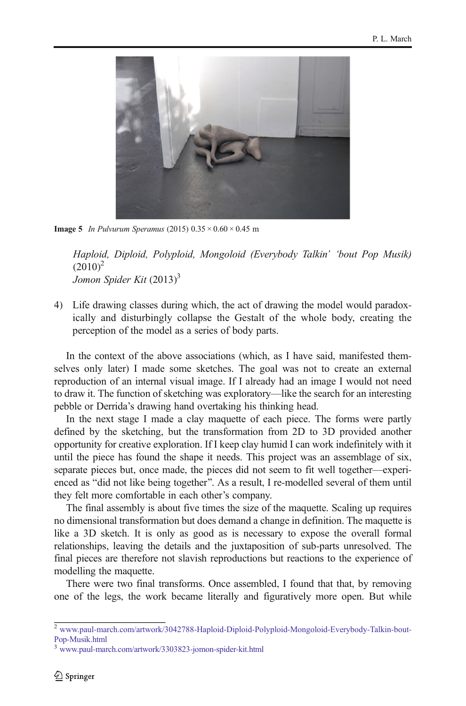<span id="page-13-0"></span>

**Image 5** In Pulvurum Speramus (2015)  $0.35 \times 0.60 \times 0.45$  m

Haploid, Diploid, Polyploid, Mongoloid (Everybody Talkin' 'bout Pop Musik)  $(2010)^2$ Jomon Spider Kit  $(2013)^3$ 

4) Life drawing classes during which, the act of drawing the model would paradoxically and disturbingly collapse the Gestalt of the whole body, creating the perception of the model as a series of body parts.

In the context of the above associations (which, as I have said, manifested themselves only later) I made some sketches. The goal was not to create an external reproduction of an internal visual image. If I already had an image I would not need to draw it. The function of sketching was exploratory—like the search for an interesting pebble or Derrida's drawing hand overtaking his thinking head.

In the next stage I made a clay maquette of each piece. The forms were partly defined by the sketching, but the transformation from 2D to 3D provided another opportunity for creative exploration. If I keep clay humid I can work indefinitely with it until the piece has found the shape it needs. This project was an assemblage of six, separate pieces but, once made, the pieces did not seem to fit well together—experienced as "did not like being together". As a result, I re-modelled several of them until they felt more comfortable in each other's company.

The final assembly is about five times the size of the maquette. Scaling up requires no dimensional transformation but does demand a change in definition. The maquette is like a 3D sketch. It is only as good as is necessary to expose the overall formal relationships, leaving the details and the juxtaposition of sub-parts unresolved. The final pieces are therefore not slavish reproductions but reactions to the experience of modelling the maquette.

There were two final transforms. Once assembled, I found that that, by removing one of the legs, the work became literally and figuratively more open. But while

<sup>&</sup>lt;sup>2</sup> [www.paul-march.com/artwork/3042788-Haploid-Diploid-Polyploid-Mongoloid-Everybody-Talkin-bout-](http://www.paul-march.com/artwork/3042788-Haploid-Diploid-Polyploid-Mongoloid-Everybody-Talkin-bout-Pop-Musik.html)[Pop-Musik.html](http://www.paul-march.com/artwork/3042788-Haploid-Diploid-Polyploid-Mongoloid-Everybody-Talkin-bout-Pop-Musik.html)

<sup>3</sup> [www.paul-march.com/artwork/3303823-jomon-spider-kit.html](http://www.paul-march.com/artwork/3303823-jomon-spider-kit.html)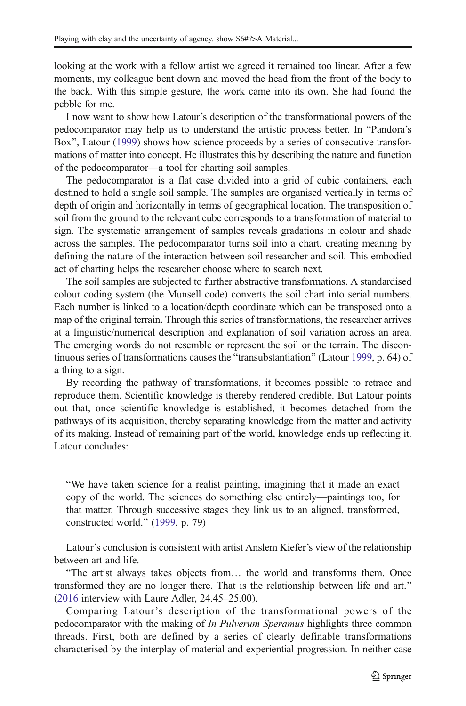looking at the work with a fellow artist we agreed it remained too linear. After a few moments, my colleague bent down and moved the head from the front of the body to the back. With this simple gesture, the work came into its own. She had found the pebble for me.

I now want to show how Latour's description of the transformational powers of the pedocomparator may help us to understand the artistic process better. In "Pandora's Box", Latour ([1999](#page-17-0)) shows how science proceeds by a series of consecutive transformations of matter into concept. He illustrates this by describing the nature and function of the pedocomparator—a tool for charting soil samples.

The pedocomparator is a flat case divided into a grid of cubic containers, each destined to hold a single soil sample. The samples are organised vertically in terms of depth of origin and horizontally in terms of geographical location. The transposition of soil from the ground to the relevant cube corresponds to a transformation of material to sign. The systematic arrangement of samples reveals gradations in colour and shade across the samples. The pedocomparator turns soil into a chart, creating meaning by defining the nature of the interaction between soil researcher and soil. This embodied act of charting helps the researcher choose where to search next.

The soil samples are subjected to further abstractive transformations. A standardised colour coding system (the Munsell code) converts the soil chart into serial numbers. Each number is linked to a location/depth coordinate which can be transposed onto a map of the original terrain. Through this series of transformations, the researcher arrives at a linguistic/numerical description and explanation of soil variation across an area. The emerging words do not resemble or represent the soil or the terrain. The discon-tinuous series of transformations causes the "transubstantiation" (Latour [1999,](#page-17-0) p. 64) of a thing to a sign.

By recording the pathway of transformations, it becomes possible to retrace and reproduce them. Scientific knowledge is thereby rendered credible. But Latour points out that, once scientific knowledge is established, it becomes detached from the pathways of its acquisition, thereby separating knowledge from the matter and activity of its making. Instead of remaining part of the world, knowledge ends up reflecting it. Latour concludes:

We have taken science for a realist painting, imagining that it made an exact copy of the world. The sciences do something else entirely—paintings too, for that matter. Through successive stages they link us to an aligned, transformed, constructed world." ([1999](#page-17-0), p. 79)

Latour's conclusion is consistent with artist Anslem Kiefer's view of the relationship between art and life.

"The artist always takes objects from... the world and transforms them. Once transformed they are no longer there. That is the relationship between life and art.<sup>"</sup> [\(2016](#page-16-0) interview with Laure Adler, 24.45–25.00).

Comparing Latour's description of the transformational powers of the pedocomparator with the making of In Pulverum Speramus highlights three common threads. First, both are defined by a series of clearly definable transformations characterised by the interplay of material and experiential progression. In neither case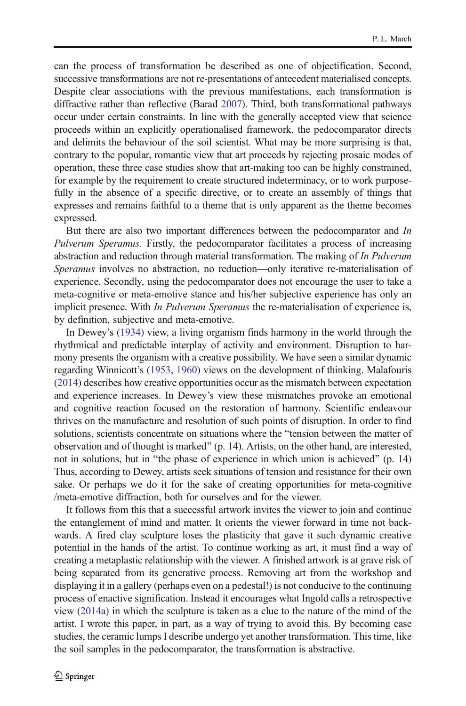can the process of transformation be described as one of objectification. Second, successive transformations are not re-presentations of antecedent materialised concepts. Despite clear associations with the previous manifestations, each transformation is diffractive rather than reflective (Barad [2007](#page-16-0)). Third, both transformational pathways occur under certain constraints. In line with the generally accepted view that science proceeds within an explicitly operationalised framework, the pedocomparator directs and delimits the behaviour of the soil scientist. What may be more surprising is that, contrary to the popular, romantic view that art proceeds by rejecting prosaic modes of operation, these three case studies show that art-making too can be highly constrained, for example by the requirement to create structured indeterminacy, or to work purposefully in the absence of a specific directive, or to create an assembly of things that expresses and remains faithful to a theme that is only apparent as the theme becomes expressed.

But there are also two important differences between the pedocomparator and In Pulverum Speramus. Firstly, the pedocomparator facilitates a process of increasing abstraction and reduction through material transformation. The making of In Pulverum Speramus involves no abstraction, no reduction—only iterative re-materialisation of experience. Secondly, using the pedocomparator does not encourage the user to take a meta-cognitive or meta-emotive stance and his/her subjective experience has only an implicit presence. With In Pulverum Speramus the re-materialisation of experience is, by definition, subjective and meta-emotive.

In Dewey's [\(1934\)](#page-17-0) view, a living organism finds harmony in the world through the rhythmical and predictable interplay of activity and environment. Disruption to harmony presents the organism with a creative possibility. We have seen a similar dynamic regarding Winnicott's ([1953](#page-18-0), [1960\)](#page-18-0) views on the development of thinking. Malafouris [\(2014\)](#page-17-0) describes how creative opportunities occur as the mismatch between expectation and experience increases. In Dewey's view these mismatches provoke an emotional and cognitive reaction focused on the restoration of harmony. Scientific endeavour thrives on the manufacture and resolution of such points of disruption. In order to find solutions, scientists concentrate on situations where the "tension between the matter of observation and of thought is marked^ (p. 14). Artists, on the other hand, are interested, not in solutions, but in "the phase of experience in which union is achieved"  $(p. 14)$ Thus, according to Dewey, artists seek situations of tension and resistance for their own sake. Or perhaps we do it for the sake of creating opportunities for meta-cognitive /meta-emotive diffraction, both for ourselves and for the viewer.

It follows from this that a successful artwork invites the viewer to join and continue the entanglement of mind and matter. It orients the viewer forward in time not backwards. A fired clay sculpture loses the plasticity that gave it such dynamic creative potential in the hands of the artist. To continue working as art, it must find a way of creating a metaplastic relationship with the viewer. A finished artwork is at grave risk of being separated from its generative process. Removing art from the workshop and displaying it in a gallery (perhaps even on a pedestal!) is not conducive to the continuing process of enactive signification. Instead it encourages what Ingold calls a retrospective view ([2014a\)](#page-17-0) in which the sculpture is taken as a clue to the nature of the mind of the artist. I wrote this paper, in part, as a way of trying to avoid this. By becoming case studies, the ceramic lumps I describe undergo yet another transformation. This time, like the soil samples in the pedocomparator, the transformation is abstractive.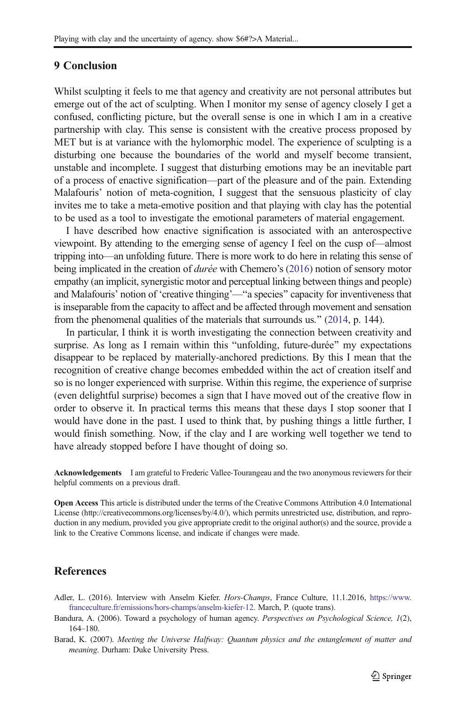# <span id="page-16-0"></span>9 Conclusion

Whilst sculpting it feels to me that agency and creativity are not personal attributes but emerge out of the act of sculpting. When I monitor my sense of agency closely I get a confused, conflicting picture, but the overall sense is one in which I am in a creative partnership with clay. This sense is consistent with the creative process proposed by MET but is at variance with the hylomorphic model. The experience of sculpting is a disturbing one because the boundaries of the world and myself become transient, unstable and incomplete. I suggest that disturbing emotions may be an inevitable part of a process of enactive signification—part of the pleasure and of the pain. Extending Malafouris' notion of meta-cognition, I suggest that the sensuous plasticity of clay invites me to take a meta-emotive position and that playing with clay has the potential to be used as a tool to investigate the emotional parameters of material engagement.

I have described how enactive signification is associated with an anterospective viewpoint. By attending to the emerging sense of agency I feel on the cusp of—almost tripping into—an unfolding future. There is more work to do here in relating this sense of being implicated in the creation of *durée* with Chemero's ([2016\)](#page-17-0) notion of sensory motor empathy (an implicit, synergistic motor and perceptual linking between things and people) and Malafouris' notion of 'creative thinging'—"a species" capacity for inventiveness that is inseparable from the capacity to affect and be affected through movement and sensation from the phenomenal qualities of the materials that surrounds us.^ [\(2014](#page-17-0), p. 144).

In particular, I think it is worth investigating the connection between creativity and surprise. As long as I remain within this "unfolding, future-durée" my expectations disappear to be replaced by materially-anchored predictions. By this I mean that the recognition of creative change becomes embedded within the act of creation itself and so is no longer experienced with surprise. Within this regime, the experience of surprise (even delightful surprise) becomes a sign that I have moved out of the creative flow in order to observe it. In practical terms this means that these days I stop sooner that I would have done in the past. I used to think that, by pushing things a little further, I would finish something. Now, if the clay and I are working well together we tend to have already stopped before I have thought of doing so.

Acknowledgements I am grateful to Frederic Vallee-Tourangeau and the two anonymous reviewers for their helpful comments on a previous draft.

Open Access This article is distributed under the terms of the Creative Commons Attribution 4.0 International License (http://creativecommons.org/licenses/by/4.0/), which permits unrestricted use, distribution, and reproduction in any medium, provided you give appropriate credit to the original author(s) and the source, provide a link to the Creative Commons license, and indicate if changes were made.

#### **References**

- Adler, L. (2016). Interview with Anselm Kiefer. Hors-Champs, France Culture, 11.1.2016, [https://www.](https://www.franceculture.fr/emissions/hors-champs/anselm-kiefer-12) [franceculture.fr/emissions/hors-champs/anselm-kiefer-12](https://www.franceculture.fr/emissions/hors-champs/anselm-kiefer-12). March, P. (quote trans).
- Bandura, A. (2006). Toward a psychology of human agency. Perspectives on Psychological Science, 1(2), 164–180.
- Barad, K. (2007). Meeting the Universe Halfway: Quantum physics and the entanglement of matter and meaning. Durham: Duke University Press.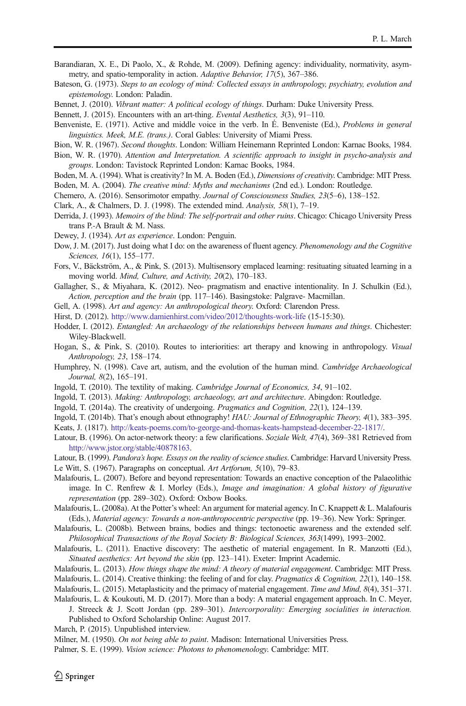- <span id="page-17-0"></span>Barandiaran, X. E., Di Paolo, X., & Rohde, M. (2009). Defining agency: individuality, normativity, asymmetry, and spatio-temporality in action. Adaptive Behavior, 17(5), 367–386.
- Bateson, G. (1973). Steps to an ecology of mind: Collected essays in anthropology, psychiatry, evolution and epistemology. London: Paladin.
- Bennet, J. (2010). Vibrant matter: A political ecology of things. Durham: Duke University Press.

Bennett, J. (2015). Encounters with an art-thing. Evental Aesthetics, 3(3), 91–110.

- Benveniste, E. (1971). Active and middle voice in the verb. In É. Benveniste (Ed.), Problems in general linguistics. Meek, M.E. (trans.). Coral Gables: University of Miami Press.
- Bion, W. R. (1967). Second thoughts. London: William Heinemann Reprinted London: Karnac Books, 1984.
- Bion, W. R. (1970). Attention and Interpretation. A scientific approach to insight in psycho-analysis and groups. London: Tavistock Reprinted London: Karnac Books, 1984.
- Boden, M. A. (1994). What is creativity? In M. A. Boden (Ed.), Dimensions of creativity. Cambridge: MIT Press. Boden, M. A. (2004). The creative mind: Myths and mechanisms (2nd ed.). London: Routledge.
- Chemero, A. (2016). Sensorimotor empathy. Journal of Consciousness Studies, 23(5–6), 138–152.
- Clark, A., & Chalmers, D. J. (1998). The extended mind. Analysis, 58(1), 7–19.
- Derrida, J. (1993). Memoirs of the blind: The self-portrait and other ruins. Chicago: Chicago University Press trans P.-A Brault & M. Nass.
- Dewey, J. (1934). Art as experience. London: Penguin.
- Dow, J. M. (2017). Just doing what I do: on the awareness of fluent agency. Phenomenology and the Cognitive Sciences, 16(1), 155-177.
- Fors, V., Bäckström, A., & Pink, S. (2013). Multisensory emplaced learning: resituating situated learning in a moving world. Mind, Culture, and Activity, 20(2), 170–183.
- Gallagher, S., & Miyahara, K. (2012). Neo- pragmatism and enactive intentionality. In J. Schulkin (Ed.), Action, perception and the brain (pp. 117–146). Basingstoke: Palgrave-Macmillan.
- Gell, A. (1998). Art and agency: An anthropological theory. Oxford: Clarendon Press.
- Hirst, D. (2012). <http://www.damienhirst.com/video/2012/thoughts-work-life> (15-15:30).
- Hodder, I. (2012). Entangled: An archaeology of the relationships between humans and things. Chichester: Wiley-Blackwell.
- Hogan, S., & Pink, S. (2010). Routes to interiorities: art therapy and knowing in anthropology. Visual Anthropology, 23, 158–174.
- Humphrey, N. (1998). Cave art, autism, and the evolution of the human mind. Cambridge Archaeological Journal, 8(2), 165–191.
- Ingold, T. (2010). The textility of making. Cambridge Journal of Economics, 34, 91–102.

Ingold, T. (2013). Making: Anthropology, archaeology, art and architecture. Abingdon: Routledge.

Ingold, T. (2014a). The creativity of undergoing. Pragmatics and Cognition, 22(1), 124–139.

Ingold, T. (2014b). That's enough about ethnography! HAU: Journal of Ethnographic Theory, 4(1), 383–395. Keats, J. (1817). <http://keats-poems.com/to-george-and-thomas-keats-hampstead-december-22-1817/>.

- Latour, B. (1996). On actor-network theory: a few clarifications. Soziale Welt, 47(4), 369-381 Retrieved from <http://www.jstor.org/stable/40878163>.
- Latour, B. (1999). Pandora's hope. Essays on the reality of science studies. Cambridge: Harvard University Press. Le Witt, S. (1967). Paragraphs on conceptual. Art Artforum, 5(10), 79–83.
- Malafouris, L. (2007). Before and beyond representation: Towards an enactive conception of the Palaeolithic
- image. In C. Renfrew & I. Morley (Eds.), *Image and imagination:* A global history of figurative representation (pp. 289–302). Oxford: Oxbow Books.

Malafouris, L. (2008a). At the Potter's wheel: An argument for material agency. In C. Knappett & L. Malafouris (Eds.), Material agency: Towards a non-anthropocentric perspective (pp. 19–36). New York: Springer.

Malafouris, L. (2008b). Between brains, bodies and things: tectonoetic awareness and the extended self. Philosophical Transactions of the Royal Society B: Biological Sciences, 363(1499), 1993–2002.

- Malafouris, L. (2011). Enactive discovery: The aesthetic of material engagement. In R. Manzotti (Ed.), Situated aesthetics: Art beyond the skin (pp. 123–141). Exeter: Imprint Academic.
- Malafouris, L. (2013). How things shape the mind: A theory of material engagement. Cambridge: MIT Press.
- Malafouris, L. (2014). Creative thinking: the feeling of and for clay. Pragmatics & Cognition, 22(1), 140–158.
- Malafouris, L. (2015). Metaplasticity and the primacy of material engagement. Time and Mind, 8(4), 351–371.

Malafouris, L. & Koukouti, M. D. (2017). More than a body: A material engagement approach. In C. Meyer,

J. Streeck & J. Scott Jordan (pp. 289–301). Intercorporality: Emerging socialities in interaction. Published to Oxford Scholarship Online: August 2017.

March, P. (2015). Unpublished interview.

Milner, M. (1950). On not being able to paint. Madison: International Universities Press.

Palmer, S. E. (1999). Vision science: Photons to phenomenology. Cambridge: MIT.